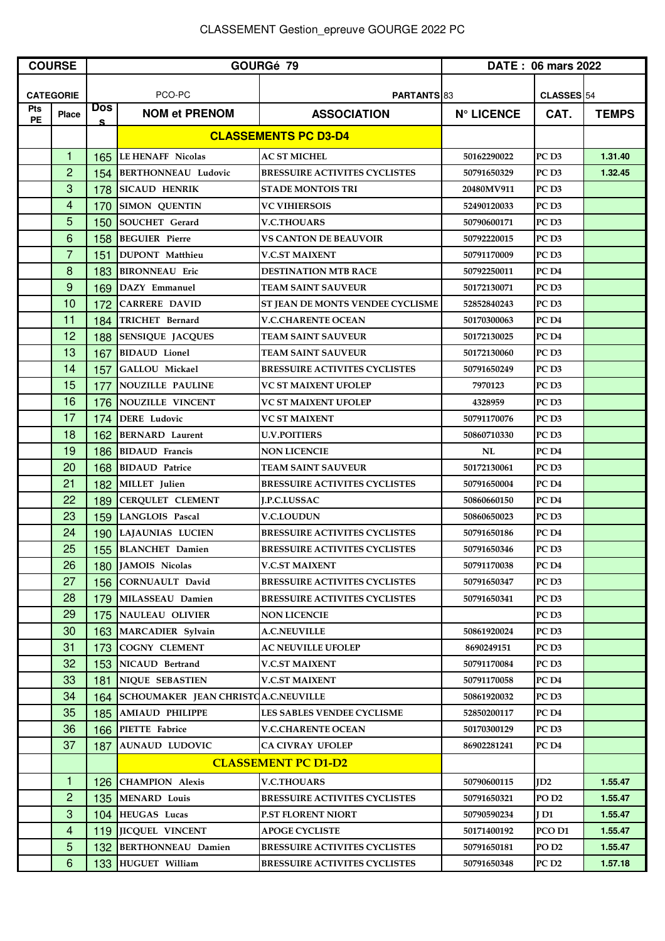| <b>COURSE</b>    |                  | GOURGé 79        |                                     |                                      | DATE: 06 mars 2022 |                   |              |
|------------------|------------------|------------------|-------------------------------------|--------------------------------------|--------------------|-------------------|--------------|
|                  |                  |                  |                                     |                                      |                    |                   |              |
|                  | <b>CATEGORIE</b> |                  | PCO-PC                              | PARTANTS 83                          |                    | CLASSES 54        |              |
| Pts<br><b>PE</b> | <b>Place</b>     | <b>Dos</b><br>s. | <b>NOM et PRENOM</b>                | <b>ASSOCIATION</b>                   | <b>N° LICENCE</b>  | CAT.              | <b>TEMPS</b> |
|                  |                  |                  |                                     | <b>CLASSEMENTS PC D3-D4</b>          |                    |                   |              |
|                  | $\mathbf{1}$     | 165              | LE HENAFF Nicolas                   | <b>AC ST MICHEL</b>                  | 50162290022        | PC <sub>D3</sub>  | 1.31.40      |
|                  | $\overline{c}$   | 154              | BERTHONNEAU Ludovic                 | <b>BRESSUIRE ACTIVITES CYCLISTES</b> | 50791650329        | PC <sub>D3</sub>  | 1.32.45      |
|                  | 3                | 178              | <b>SICAUD HENRIK</b>                | <b>STADE MONTOIS TRI</b>             | 20480MV911         | PC <sub>D3</sub>  |              |
|                  | 4                | 170              | <b>SIMON OUENTIN</b>                | <b>VC VIHIERSOIS</b>                 | 52490120033        | PC <sub>D3</sub>  |              |
|                  | 5                | 150              | <b>SOUCHET</b> Gerard               | <b>V.C.THOUARS</b>                   | 50790600171        | PC <sub>D3</sub>  |              |
|                  | 6                | 158              | <b>BEGUIER</b> Pierre               | <b>VS CANTON DE BEAUVOIR</b>         | 50792220015        | PC <sub>D3</sub>  |              |
|                  | $\overline{7}$   | 151              | <b>DUPONT</b> Matthieu              | V.C.ST MAIXENT                       | 50791170009        | PC <sub>D3</sub>  |              |
|                  | 8                | 183              | <b>BIRONNEAU</b> Eric               | <b>DESTINATION MTB RACE</b>          | 50792250011        | PC <sub>D4</sub>  |              |
|                  | 9                | 169              | DAZY Emmanuel                       | <b>TEAM SAINT SAUVEUR</b>            | 50172130071        | PC <sub>D3</sub>  |              |
|                  | 10               | 172              | <b>CARRERE DAVID</b>                | ST JEAN DE MONTS VENDEE CYCLISME     | 52852840243        | PC <sub>D3</sub>  |              |
|                  | 11               | 184              | <b>TRICHET</b> Bernard              | <b>V.C.CHARENTE OCEAN</b>            | 50170300063        | PC <sub>D4</sub>  |              |
|                  | 12               | 188              | <b>SENSIQUE JACQUES</b>             | TEAM SAINT SAUVEUR                   | 50172130025        | PC <sub>D4</sub>  |              |
|                  | 13               | 167              | <b>BIDAUD</b> Lionel                | TEAM SAINT SAUVEUR                   | 50172130060        | PC <sub>D3</sub>  |              |
|                  | 14               | 157              | <b>GALLOU Mickael</b>               | <b>BRESSUIRE ACTIVITES CYCLISTES</b> | 50791650249        | PC <sub>D3</sub>  |              |
|                  | 15               | 177              | NOUZILLE PAULINE                    | VC ST MAIXENT UFOLEP                 | 7970123            | PC D3             |              |
|                  | 16               | 176              | NOUZILLE VINCENT                    | <b>VC ST MAIXENT UFOLEP</b>          | 4328959            | PC <sub>D3</sub>  |              |
|                  | 17               | 174              | DERE Ludovic                        | <b>VC ST MAIXENT</b>                 | 50791170076        | PC <sub>D3</sub>  |              |
|                  | 18               | 162              | <b>BERNARD</b> Laurent              | <b>U.V.POITIERS</b>                  | 50860710330        | PC <sub>D3</sub>  |              |
|                  | 19               | 186              | <b>BIDAUD</b> Francis               | <b>NON LICENCIE</b>                  | NL                 | PC <sub>D4</sub>  |              |
|                  | 20               | 168              | <b>BIDAUD</b> Patrice               | <b>TEAM SAINT SAUVEUR</b>            | 50172130061        | PC <sub>D3</sub>  |              |
|                  | 21               | 182              | MILLET Julien                       | <b>BRESSUIRE ACTIVITES CYCLISTES</b> | 50791650004        | PC <sub>D4</sub>  |              |
|                  | 22               | 189              | <b>CERQULET CLEMENT</b>             | <b>J.P.C.LUSSAC</b>                  | 50860660150        | PC <sub>D4</sub>  |              |
|                  | 23               | 159              | LANGLOIS Pascal                     | <b>V.C.LOUDUN</b>                    | 50860650023        | PC <sub>D3</sub>  |              |
|                  | 24               | 190              | LAJAUNIAS LUCIEN                    | <b>BRESSUIRE ACTIVITES CYCLISTES</b> | 50791650186        | PC <sub>D4</sub>  |              |
|                  | 25               | 155              | <b>BLANCHET</b> Damien              | <b>BRESSUIRE ACTIVITES CYCLISTES</b> | 50791650346        | PC <sub>D3</sub>  |              |
|                  | 26               |                  | 180 JAMOIS Nicolas                  | <b>V.C.ST MAIXENT</b>                | 50791170038        | PC <sub>D4</sub>  |              |
|                  | 27               | 156              | CORNUAULT David                     | <b>BRESSUIRE ACTIVITES CYCLISTES</b> | 50791650347        | PC <sub>D3</sub>  |              |
|                  | 28               | 179              | MILASSEAU Damien                    | <b>BRESSUIRE ACTIVITES CYCLISTES</b> | 50791650341        | PC <sub>D3</sub>  |              |
|                  | 29               | 175              | <b>NAULEAU OLIVIER</b>              | <b>NON LICENCIE</b>                  |                    | PC <sub>D3</sub>  |              |
|                  | 30               | 163              | MARCADIER Sylvain                   | <b>A.C.NEUVILLE</b>                  | 50861920024        | PC <sub>D3</sub>  |              |
|                  | 31               | 173              | <b>COGNY CLEMENT</b>                | <b>AC NEUVILLE UFOLEP</b>            | 8690249151         | PC D3             |              |
|                  | 32               | 153              | NICAUD Bertrand                     | <b>V.C.ST MAIXENT</b>                | 50791170084        | PC <sub>D3</sub>  |              |
|                  | 33               | 181              | NIQUE SEBASTIEN                     | <b>V.C.ST MAIXENT</b>                | 50791170058        | PC <sub>D4</sub>  |              |
|                  | 34               | 164              | SCHOUMAKER JEAN CHRISTOA.C.NEUVILLE |                                      | 50861920032        | PC <sub>D3</sub>  |              |
|                  | 35               | 185              | <b>AMIAUD PHILIPPE</b>              | LES SABLES VENDEE CYCLISME           | 52850200117        | PC <sub>D4</sub>  |              |
|                  | 36               | 166              | <b>PIETTE</b> Fabrice               | <b>V.C.CHARENTE OCEAN</b>            | 50170300129        | PC <sub>D3</sub>  |              |
|                  | 37               | 187              | <b>AUNAUD LUDOVIC</b>               | <b>CA CIVRAY UFOLEP</b>              | 86902281241        | PC <sub>D4</sub>  |              |
|                  |                  |                  |                                     | <b>CLASSEMENT PC D1-D2</b>           |                    |                   |              |
|                  | 1                | 126              | <b>CHAMPION Alexis</b>              | <b>V.C.THOUARS</b>                   | 50790600115        | ID2               | 1.55.47      |
|                  | $\overline{c}$   | 135              | MENARD Louis                        | <b>BRESSUIRE ACTIVITES CYCLISTES</b> | 50791650321        | PO <sub>D2</sub>  | 1.55.47      |
|                  | 3                | 104              | <b>HEUGAS</b> Lucas                 | <b>P.ST FLORENT NIORT</b>            | 50790590234        | $\overline{I}$ D1 | 1.55.47      |
|                  | 4                | 119              | <b>IICQUEL VINCENT</b>              | <b>APOGE CYCLISTE</b>                | 50171400192        | PCO D1            | 1.55.47      |
|                  | 5                | 132              | BERTHONNEAU Damien                  | <b>BRESSUIRE ACTIVITES CYCLISTES</b> | 50791650181        | PO <sub>D</sub> 2 | 1.55.47      |
|                  | $6\phantom{1}$   | 133              | HUGUET William                      | <b>BRESSUIRE ACTIVITES CYCLISTES</b> | 50791650348        | PC <sub>D2</sub>  | 1.57.18      |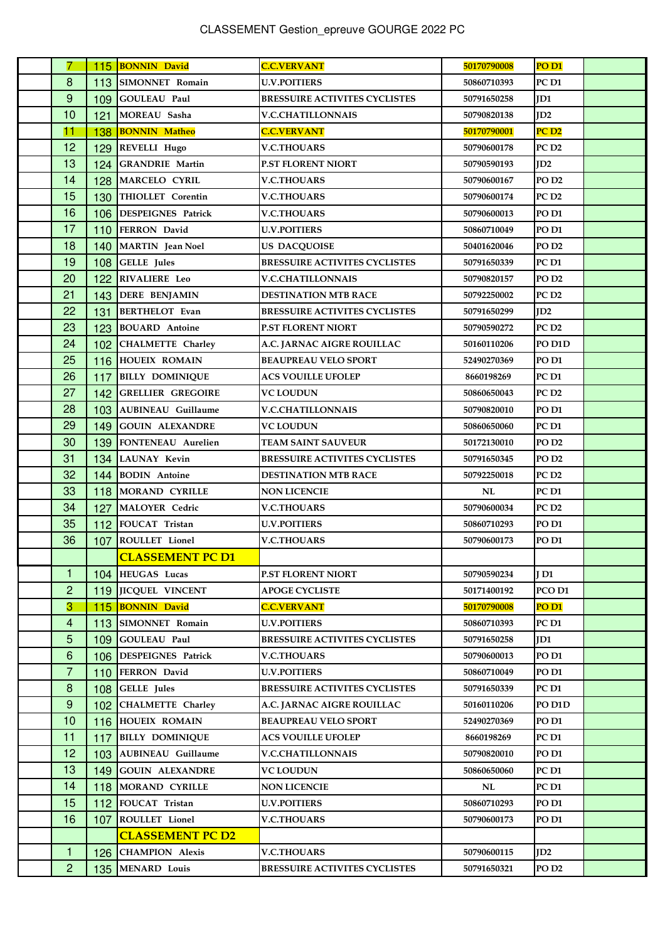| 7              |     | 115 BONNIN David             | <b>C.C.VERVANT</b>                   | 50170790008 | PO <sub>D1</sub>  |  |
|----------------|-----|------------------------------|--------------------------------------|-------------|-------------------|--|
| 8              |     | 113 SIMONNET Romain          | <b>U.V.POITIERS</b>                  | 50860710393 | PC <sub>D1</sub>  |  |
| 9              |     | 109 GOULEAU Paul             | <b>BRESSUIRE ACTIVITES CYCLISTES</b> | 50791650258 | ID1               |  |
| 10             | 121 | MOREAU Sasha                 | <b>V.C.CHATILLONNAIS</b>             | 50790820138 | ID2               |  |
| 11             | 138 | <b>BONNIN Matheo</b>         | <b>C.C.VERVANT</b>                   | 50170790001 | PC <sub>D2</sub>  |  |
| 12             |     | 129 REVELLI Hugo             | <b>V.C.THOUARS</b>                   | 50790600178 | PC <sub>D2</sub>  |  |
| 13             |     | 124 GRANDRIE Martin          | <b>P.ST FLORENT NIORT</b>            | 50790590193 | ID2               |  |
| 14             |     | 128 MARCELO CYRIL            | <b>V.C.THOUARS</b>                   | 50790600167 | PO <sub>D</sub> 2 |  |
| 15             |     | 130 THIOLLET Corentin        | <b>V.C.THOUARS</b>                   | 50790600174 | PC <sub>D2</sub>  |  |
| 16             |     | 106 DESPEIGNES Patrick       | <b>V.C.THOUARS</b>                   | 50790600013 | PO D1             |  |
| 17             |     | 110 FERRON David             | <b>U.V.POITIERS</b>                  | 50860710049 | PO <sub>D1</sub>  |  |
| 18             |     | 140 MARTIN Jean Noel         | <b>US DACQUOISE</b>                  | 50401620046 | PO <sub>D2</sub>  |  |
| 19             |     | 108 GELLE Jules              | <b>BRESSUIRE ACTIVITES CYCLISTES</b> | 50791650339 | PC <sub>D1</sub>  |  |
| 20             |     | 122 RIVALIERE Leo            | <b>V.C.CHATILLONNAIS</b>             | 50790820157 | PO <sub>D</sub> 2 |  |
| 21             |     | 143 DERE BENJAMIN            | <b>DESTINATION MTB RACE</b>          | 50792250002 | PC <sub>D2</sub>  |  |
| 22             | 131 | BERTHELOT Evan               | <b>BRESSUIRE ACTIVITES CYCLISTES</b> | 50791650299 | ID2               |  |
| 23             |     | 123 BOUARD Antoine           | P.ST FLORENT NIORT                   | 50790590272 | PC D2             |  |
| 24             |     | 102 CHALMETTE Charley        | A.C. JARNAC AIGRE ROUILLAC           | 50160110206 | PO D1D            |  |
| 25             |     | 116 HOUEIX ROMAIN            | <b>BEAUPREAU VELO SPORT</b>          | 52490270369 | PO <sub>D1</sub>  |  |
| 26             | 117 | <b>BILLY DOMINIQUE</b>       | <b>ACS VOUILLE UFOLEP</b>            | 8660198269  | PC <sub>D1</sub>  |  |
| 27             |     | <b>142 GRELLIER GREGOIRE</b> | <b>VC LOUDUN</b>                     | 50860650043 | PC D2             |  |
| 28             | 103 | <b>AUBINEAU</b> Guillaume    | <b>V.C.CHATILLONNAIS</b>             | 50790820010 | PO D1             |  |
| 29             |     | <b>149 GOUIN ALEXANDRE</b>   | <b>VC LOUDUN</b>                     | 50860650060 | PC <sub>D1</sub>  |  |
| 30             |     | 139 FONTENEAU Aurelien       | TEAM SAINT SAUVEUR                   | 50172130010 | PO <sub>D</sub> 2 |  |
| 31             |     | 134 LAUNAY Kevin             | <b>BRESSUIRE ACTIVITES CYCLISTES</b> | 50791650345 | PO <sub>D</sub> 2 |  |
| 32             |     | 144 BODIN Antoine            | <b>DESTINATION MTB RACE</b>          | 50792250018 | PC D2             |  |
| 33             |     | 118 MORAND CYRILLE           | <b>NON LICENCIE</b>                  | NL          | PC <sub>D1</sub>  |  |
| 34             | 127 | MALOYER Cedric               | <b>V.C.THOUARS</b>                   | 50790600034 | PC <sub>D2</sub>  |  |
| 35             |     | 112 FOUCAT Tristan           | <b>U.V.POITIERS</b>                  | 50860710293 | PO D1             |  |
| 36             |     | 107 ROULLET Lionel           | <b>V.C.THOUARS</b>                   | 50790600173 | PO D1             |  |
|                |     | <b>CLASSEMENT PC D1</b>      |                                      |             |                   |  |
| 1              |     | 104 HEUGAS Lucas             | <b>P.ST FLORENT NIORT</b>            | 50790590234 | I D1              |  |
| $\overline{c}$ |     | 119 JICQUEL VINCENT          | <b>APOGE CYCLISTE</b>                | 50171400192 | PCO D1            |  |
| $\overline{3}$ |     | 115 BONNIN David             | <b>C.C.VERVANT</b>                   | 50170790008 | PO <sub>D1</sub>  |  |
| $\overline{4}$ | 113 | SIMONNET Romain              | <b>U.V.POITIERS</b>                  | 50860710393 | PC D1             |  |
| 5              |     | 109 GOULEAU Paul             | <b>BRESSUIRE ACTIVITES CYCLISTES</b> | 50791650258 | ID1               |  |
| 6              |     | 106 DESPEIGNES Patrick       | <b>V.C.THOUARS</b>                   | 50790600013 | PO <sub>D1</sub>  |  |
| $\overline{7}$ | 110 | <b>FERRON</b> David          | <b>U.V.POITIERS</b>                  | 50860710049 | PO <sub>D1</sub>  |  |
| 8              | 108 | <b>GELLE</b> Jules           | <b>BRESSUIRE ACTIVITES CYCLISTES</b> | 50791650339 | PC D1             |  |
| 9              |     | 102 CHALMETTE Charley        | A.C. JARNAC AIGRE ROUILLAC           | 50160110206 | PO D1D            |  |
| 10             |     | 116 HOUEIX ROMAIN            | <b>BEAUPREAU VELO SPORT</b>          | 52490270369 | PO <sub>D1</sub>  |  |
| 11             | 117 | <b>BILLY DOMINIQUE</b>       | <b>ACS VOUILLE UFOLEP</b>            | 8660198269  | PC D1             |  |
| 12             |     | 103 AUBINEAU Guillaume       | <b>V.C.CHATILLONNAIS</b>             | 50790820010 | PO D1             |  |
| 13             |     | 149 GOUIN ALEXANDRE          | VC LOUDUN                            | 50860650060 | PC D1             |  |
| 14             |     | 118 MORAND CYRILLE           | <b>NON LICENCIE</b>                  | NL          | PC D1             |  |
| 15             |     | 112 FOUCAT Tristan           | <b>U.V.POITIERS</b>                  | 50860710293 | PO <sub>D1</sub>  |  |
| 16             |     | 107 ROULLET Lionel           | <b>V.C.THOUARS</b>                   | 50790600173 | PO D1             |  |
|                |     | <b>CLASSEMENT PC D2</b>      |                                      |             |                   |  |
| 1              |     | 126 CHAMPION Alexis          | <b>V.C.THOUARS</b>                   | 50790600115 | ID2               |  |
| $\overline{c}$ |     | 135 MENARD Louis             | <b>BRESSUIRE ACTIVITES CYCLISTES</b> | 50791650321 | PO <sub>D</sub> 2 |  |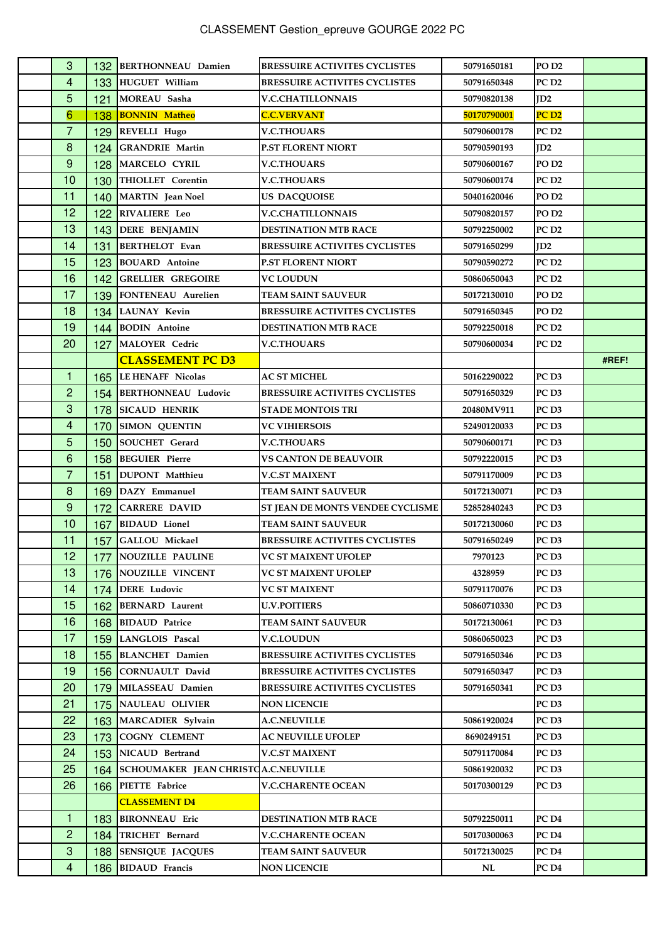| 3                |     | 132 BERTHONNEAU Damien              | <b>BRESSUIRE ACTIVITES CYCLISTES</b> | 50791650181       | PO <sub>D</sub> 2 |       |
|------------------|-----|-------------------------------------|--------------------------------------|-------------------|-------------------|-------|
| 4                |     | 133 HUGUET William                  | <b>BRESSUIRE ACTIVITES CYCLISTES</b> | 50791650348       | PC <sub>D2</sub>  |       |
| 5                | 121 | MOREAU Sasha                        | <b>V.C.CHATILLONNAIS</b>             | 50790820138       | ID2               |       |
| 6                | 138 | <b>BONNIN Matheo</b>                | <b>C.C.VERVANT</b>                   | 50170790001       | PC <sub>D2</sub>  |       |
| $\overline{7}$   |     | 129 REVELLI Hugo                    | <b>V.C.THOUARS</b>                   | 50790600178       | PC <sub>D2</sub>  |       |
| 8                |     | 124 GRANDRIE Martin                 | <b>P.ST FLORENT NIORT</b>            | 50790590193       | ID2               |       |
| $9$              |     | 128 MARCELO CYRIL                   | <b>V.C.THOUARS</b>                   | 50790600167       | PO <sub>D</sub> 2 |       |
| 10               |     | 130 THIOLLET Corentin               | <b>V.C.THOUARS</b>                   | 50790600174       | PC <sub>D2</sub>  |       |
| 11               |     | 140 MARTIN Jean Noel                | <b>US DACQUOISE</b>                  | 50401620046       | PO <sub>D</sub> 2 |       |
| 12               |     | 122 RIVALIERE Leo                   | <b>V.C.CHATILLONNAIS</b>             | 50790820157       | PO <sub>D</sub> 2 |       |
| 13               |     | 143 DERE BENJAMIN                   | <b>DESTINATION MTB RACE</b>          | 50792250002       | PC <sub>D2</sub>  |       |
| 14               | 131 | <b>BERTHELOT</b> Evan               | <b>BRESSUIRE ACTIVITES CYCLISTES</b> | 50791650299       | ID2               |       |
| 15               |     | 123 BOUARD Antoine                  | <b>P.ST FLORENT NIORT</b>            | 50790590272       | PC <sub>D2</sub>  |       |
| 16               |     | <b>142 GRELLIER GREGOIRE</b>        | <b>VC LOUDUN</b>                     | 50860650043       | PC <sub>D2</sub>  |       |
| 17               |     | 139 FONTENEAU Aurelien              | <b>TEAM SAINT SAUVEUR</b>            | 50172130010       | PO <sub>D2</sub>  |       |
| 18               |     | 134 LAUNAY Kevin                    | <b>BRESSUIRE ACTIVITES CYCLISTES</b> | 50791650345       | PO <sub>D</sub> 2 |       |
| 19               |     | 144 BODIN Antoine                   | <b>DESTINATION MTB RACE</b>          | 50792250018       | PC <sub>D2</sub>  |       |
| 20               |     | 127 MALOYER Cedric                  | <b>V.C.THOUARS</b>                   | 50790600034       | PC <sub>D2</sub>  |       |
|                  |     | <b>CLASSEMENT PC D3</b>             |                                      |                   |                   | #REF! |
| 1                |     | 165 LE HENAFF Nicolas               | <b>AC ST MICHEL</b>                  | 50162290022       | PC <sub>D3</sub>  |       |
| $\overline{2}$   |     | 154 BERTHONNEAU Ludovic             | <b>BRESSUIRE ACTIVITES CYCLISTES</b> | 50791650329       | PC <sub>D3</sub>  |       |
| $\mathbf{3}$     |     | 178 SICAUD HENRIK                   | <b>STADE MONTOIS TRI</b>             | <b>20480MV911</b> | PC <sub>D3</sub>  |       |
| 4                |     | 170 SIMON QUENTIN                   | <b>VC VIHIERSOIS</b>                 | 52490120033       | PC <sub>D3</sub>  |       |
| 5                | 150 | SOUCHET Gerard                      | <b>V.C.THOUARS</b>                   | 50790600171       | PC <sub>D3</sub>  |       |
| 6                |     | 158 BEGUIER Pierre                  | <b>VS CANTON DE BEAUVOIR</b>         | 50792220015       | PC <sub>D3</sub>  |       |
| $\overline{7}$   | 151 | DUPONT Matthieu                     | <b>V.C.ST MAIXENT</b>                | 50791170009       | PC <sub>D3</sub>  |       |
| $\boldsymbol{8}$ | 169 | DAZY Emmanuel                       | <b>TEAM SAINT SAUVEUR</b>            | 50172130071       | PC <sub>D3</sub>  |       |
| 9                | 172 | <b>CARRERE DAVID</b>                | ST JEAN DE MONTS VENDEE CYCLISME     | 52852840243       | PC <sub>D3</sub>  |       |
| 10               | 167 | <b>BIDAUD</b> Lionel                | <b>TEAM SAINT SAUVEUR</b>            | 50172130060       | PC <sub>D3</sub>  |       |
| 11               | 157 | GALLOU Mickael                      | <b>BRESSUIRE ACTIVITES CYCLISTES</b> | 50791650249       | PC <sub>D3</sub>  |       |
| 12               |     | 177 NOUZILLE PAULINE                | <b>VC ST MAIXENT UFOLEP</b>          | 7970123           | PC <sub>D3</sub>  |       |
| 13               |     | 176 NOUZILLE VINCENT                | <b>VC ST MAIXENT UFOLEP</b>          | 4328959           | PC <sub>D3</sub>  |       |
| 14               | 174 | <b>DERE</b> Ludovic                 | VC ST MAIXENT                        | 50791170076       | PC D3             |       |
| 15               |     | 162 BERNARD Laurent                 | <b>U.V.POITIERS</b>                  | 50860710330       | PC <sub>D3</sub>  |       |
| 16               |     | 168 BIDAUD Patrice                  | <b>TEAM SAINT SAUVEUR</b>            | 50172130061       | PC <sub>D3</sub>  |       |
| 17               |     | 159 LANGLOIS Pascal                 | <b>V.C.LOUDUN</b>                    | 50860650023       | PC <sub>D3</sub>  |       |
| 18               |     | 155 BLANCHET Damien                 | <b>BRESSUIRE ACTIVITES CYCLISTES</b> | 50791650346       | PC <sub>D3</sub>  |       |
| 19               | 156 | CORNUAULT David                     | <b>BRESSUIRE ACTIVITES CYCLISTES</b> | 50791650347       | PC D3             |       |
| 20               | 179 | MILASSEAU Damien                    | <b>BRESSUIRE ACTIVITES CYCLISTES</b> | 50791650341       | PC <sub>D3</sub>  |       |
| 21               |     | 175 NAULEAU OLIVIER                 | <b>NON LICENCIE</b>                  |                   | PC <sub>D3</sub>  |       |
| 22               |     | 163 MARCADIER Sylvain               | <b>A.C.NEUVILLE</b>                  | 50861920024       | PC <sub>D3</sub>  |       |
| 23               | 173 | <b>COGNY CLEMENT</b>                | <b>AC NEUVILLE UFOLEP</b>            | 8690249151        | PC <sub>D3</sub>  |       |
| 24               |     | 153 NICAUD Bertrand                 | <b>V.C.ST MAIXENT</b>                | 50791170084       | PC <sub>D3</sub>  |       |
| 25               | 164 | SCHOUMAKER JEAN CHRISTOA.C.NEUVILLE |                                      | 50861920032       | PC D3             |       |
| 26               |     | 166 PIETTE Fabrice                  | <b>V.C.CHARENTE OCEAN</b>            | 50170300129       | PC D3             |       |
|                  |     | <b>CLASSEMENT D4</b>                |                                      |                   |                   |       |
| 1                | 183 | <b>BIRONNEAU</b> Eric               | <b>DESTINATION MTB RACE</b>          | 50792250011       | PC <sub>D4</sub>  |       |
| $\overline{2}$   | 184 | TRICHET Bernard                     | <b>V.C.CHARENTE OCEAN</b>            | 50170300063       | PC D4             |       |
| 3                | 188 | <b>SENSIQUE JACQUES</b>             | <b>TEAM SAINT SAUVEUR</b>            | 50172130025       | PC D4             |       |
| 4                |     | 186 BIDAUD Francis                  | <b>NON LICENCIE</b>                  | NL                | PC <sub>D4</sub>  |       |